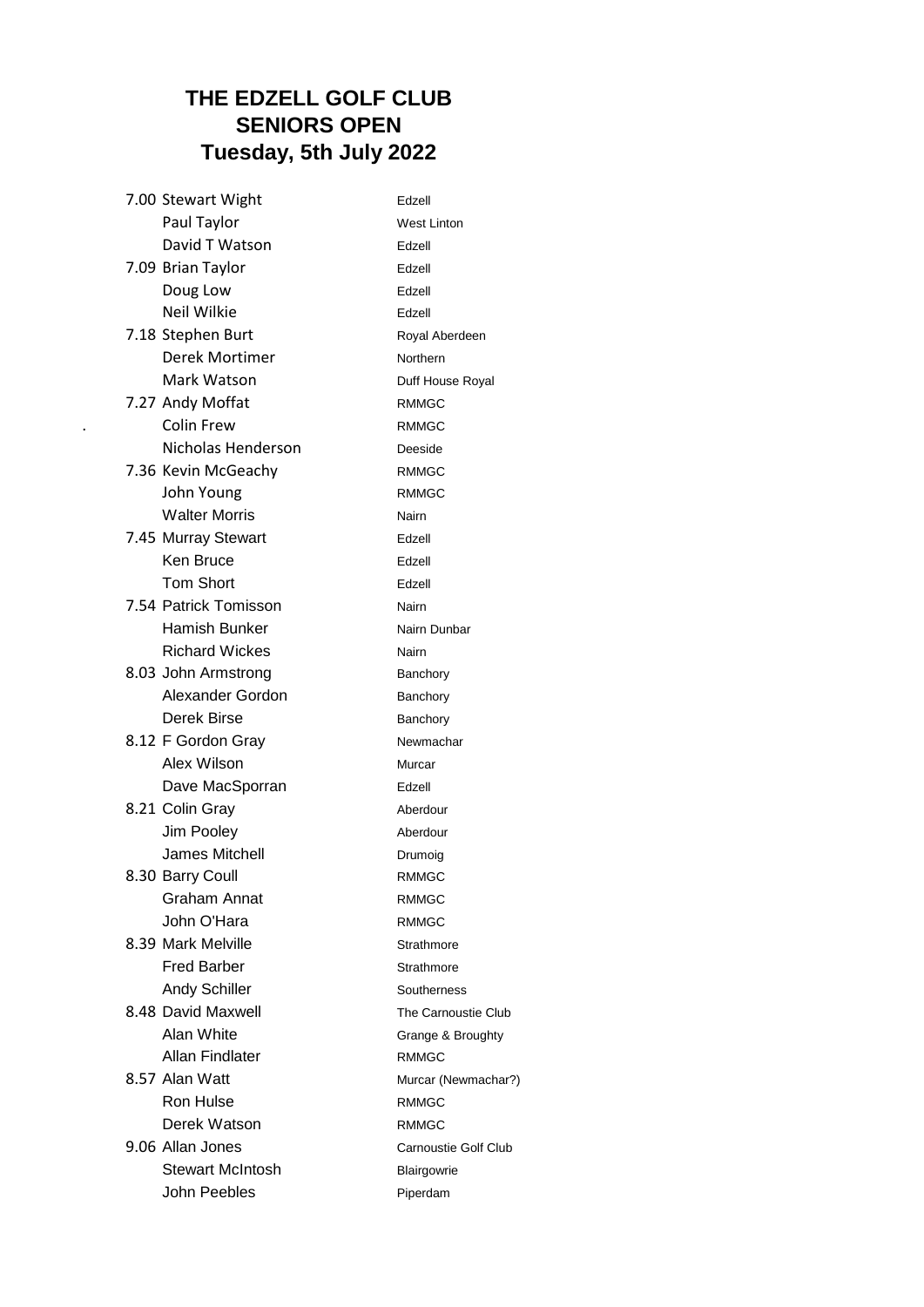## **THE EDZELL GOLF CLUB SENIORS OPEN Tuesday, 5th July 2022**

|  | 7.00 Stewart Wight      | Edzell               |
|--|-------------------------|----------------------|
|  | Paul Taylor             | <b>West Linton</b>   |
|  | David T Watson          | Edzell               |
|  | 7.09 Brian Taylor       | Edzell               |
|  | Doug Low                | Edzell               |
|  | <b>Neil Wilkie</b>      | Edzell               |
|  | 7.18 Stephen Burt       | Royal Aberdeen       |
|  | Derek Mortimer          | Northern             |
|  | Mark Watson             | Duff House Royal     |
|  | 7.27 Andy Moffat        | <b>RMMGC</b>         |
|  | <b>Colin Frew</b>       | <b>RMMGC</b>         |
|  | Nicholas Henderson      | Deeside              |
|  | 7.36 Kevin McGeachy     | <b>RMMGC</b>         |
|  | John Young              | <b>RMMGC</b>         |
|  | <b>Walter Morris</b>    | Nairn                |
|  | 7.45 Murray Stewart     | Edzell               |
|  | Ken Bruce               | Edzell               |
|  | <b>Tom Short</b>        | Edzell               |
|  | 7.54 Patrick Tomisson   | Nairn                |
|  | Hamish Bunker           | Nairn Dunbar         |
|  | <b>Richard Wickes</b>   | Nairn                |
|  | 8.03 John Armstrong     | Banchory             |
|  | Alexander Gordon        | Banchory             |
|  | Derek Birse             | Banchory             |
|  | 8.12 F Gordon Gray      | Newmachar            |
|  | Alex Wilson             | Murcar               |
|  | Dave MacSporran         | Edzell               |
|  | 8.21 Colin Gray         | Aberdour             |
|  | Jim Pooley              | Aberdour             |
|  | James Mitchell          | Drumoig              |
|  | 8.30 Barry Coull        | <b>RMMGC</b>         |
|  | <b>Graham Annat</b>     | <b>RMMGC</b>         |
|  | John O'Hara             | <b>RMMGC</b>         |
|  | 8.39 Mark Melville      | Strathmore           |
|  | <b>Fred Barber</b>      | Strathmore           |
|  | <b>Andy Schiller</b>    | Southerness          |
|  | 8.48 David Maxwell      | The Carnoustie Club  |
|  | Alan White              | Grange & Broughty    |
|  | Allan Findlater         | <b>RMMGC</b>         |
|  | 8.57 Alan Watt          | Murcar (Newmachar?)  |
|  | Ron Hulse               | <b>RMMGC</b>         |
|  | Derek Watson            | <b>RMMGC</b>         |
|  | 9.06 Allan Jones        | Carnoustie Golf Club |
|  | <b>Stewart McIntosh</b> | Blairgowrie          |
|  | John Peebles            | Piperdam             |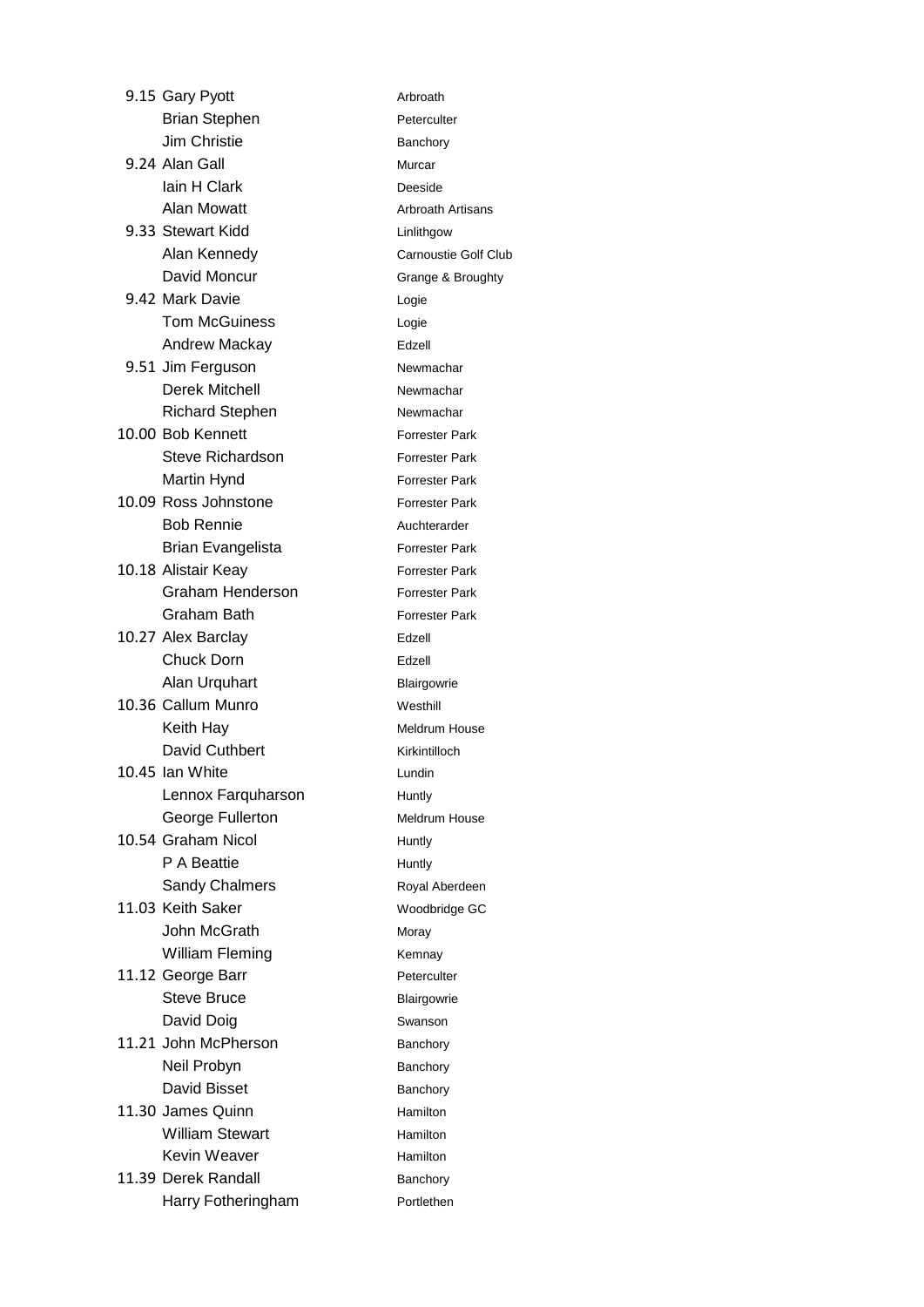|  | 9.15 Gary Pyott          | Arbroath           |
|--|--------------------------|--------------------|
|  | <b>Brian Stephen</b>     | Peterculter        |
|  | Jim Christie             | Banchory           |
|  | 9.24 Alan Gall           | Murcar             |
|  | lain H Clark             | Deeside            |
|  | <b>Alan Mowatt</b>       | Arbroath A         |
|  | 9.33 Stewart Kidd        | Linlithgow         |
|  | Alan Kennedy             | Carnoustie         |
|  | David Moncur             | Grange & I         |
|  | 9.42 Mark Davie          | Logie              |
|  | <b>Tom McGuiness</b>     | Logie              |
|  | <b>Andrew Mackay</b>     | Edzell             |
|  | 9.51 Jim Ferguson        | Newmacha           |
|  | <b>Derek Mitchell</b>    | Newmacha           |
|  | <b>Richard Stephen</b>   | Newmacha           |
|  | 10.00 Bob Kennett        | Forrester F        |
|  | <b>Steve Richardson</b>  | Forrester F        |
|  | Martin Hynd              | Forrester F        |
|  | 10.09 Ross Johnstone     | <b>Forrester F</b> |
|  | <b>Bob Rennie</b>        | Auchterard         |
|  | <b>Brian Evangelista</b> | <b>Forrester F</b> |
|  | 10.18 Alistair Keay      | Forrester F        |
|  | Graham Henderson         | Forrester F        |
|  | Graham Bath              | <b>Forrester F</b> |
|  | 10.27 Alex Barclay       | Edzell             |
|  | Chuck Dorn               | Edzell             |
|  | Alan Urquhart            | Blairgowrie        |
|  | 10.36 Callum Munro       | Westhill           |
|  | Keith Hay                | Meldrum H          |
|  | David Cuthbert           | Kirkintillocl      |
|  | 10.45 Ian White          | Lundin             |
|  | Lennox Farquharson       | Huntly             |
|  | George Fullerton         | Meldrum H          |
|  | 10.54 Graham Nicol       | Huntly             |
|  | P A Beattie              | Huntly             |
|  | <b>Sandy Chalmers</b>    | Royal Abe          |
|  | 11.03 Keith Saker        | Woodbridg          |
|  | John McGrath             | Moray              |
|  | <b>William Fleming</b>   | Kemnay             |
|  | 11.12 George Barr        | Peterculter        |
|  | <b>Steve Bruce</b>       | Blairgowrie        |
|  | David Doig               | Swanson            |
|  | 11.21 John McPherson     | Banchory           |
|  | Neil Probyn              | Banchory           |
|  | David Bisset             | Banchory           |
|  | 11.30 James Quinn        | <b>Hamilton</b>    |
|  | <b>William Stewart</b>   | <b>Hamilton</b>    |
|  | <b>Kevin Weaver</b>      | <b>Hamilton</b>    |
|  | 11.39 Derek Randall      | Banchory           |
|  | Harry Fotheringham       | Portlethen         |
|  |                          |                    |

Arbroath Peterculter Banchory Murcar Deeside Arbroath Artisans Linlithgow Carnoustie Golf Club Grange & Broughty Logie Edzell Newmachar Newmachar Newmachar Forrester Park Forrester Park Forrester Park Forrester Park Auchterarder Forrester Park Forrester Park Forrester Park Forrester Park Edzell Blairgowrie Westhill **Meldrum House** Kirkintilloch Lundin Huntly Meldrum House Huntly **Huntly** Royal Aberdeen Woodbridge GC Moray Kemnay Peterculter Blairgowrie Swanson Banchory Banchory Banchory Hamilton Hamilton Hamilton Banchory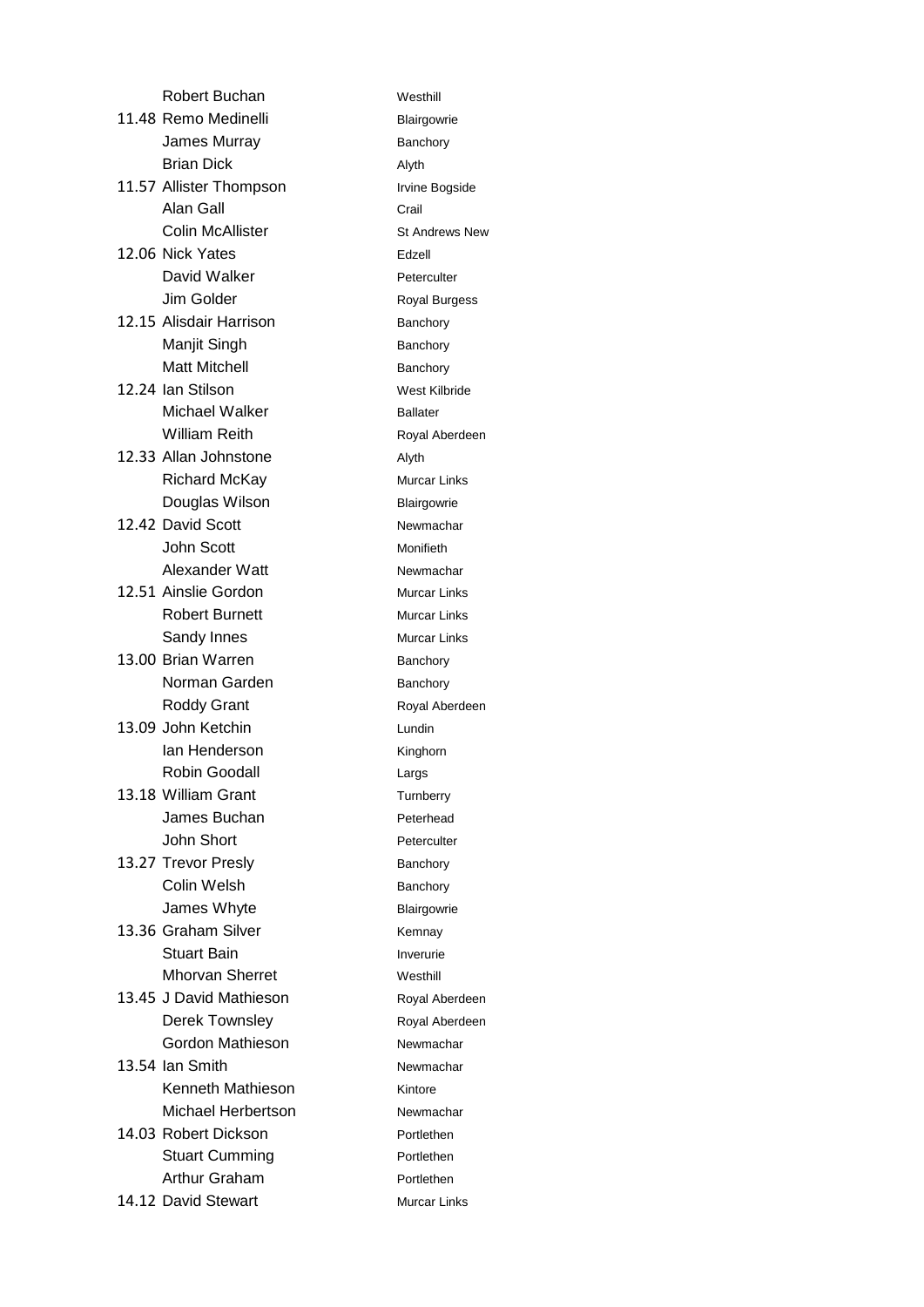| Robert Buchan           | Westh         |
|-------------------------|---------------|
| 11.48 Remo Medinelli    | <b>Blairg</b> |
| James Murray            | Banch         |
| <b>Brian Dick</b>       | Alyth         |
| 11.57 Allister Thompson | Irvine        |
| Alan Gall               | Crail         |
| <b>Colin McAllister</b> | St And        |
| 12.06 Nick Yates        | Edzell        |
| David Walker            | Petero        |
| Jim Golder              | Royal         |
| 12.15 Alisdair Harrison | Banch         |
| Manjit Singh            | Banch         |
| <b>Matt Mitchell</b>    | Banch         |
| 12.24 Ian Stilson       | West          |
| Michael Walker          | <b>Ballat</b> |
| <b>William Reith</b>    | Royal         |
| 12.33 Allan Johnstone   | Alyth         |
| <b>Richard McKay</b>    | Murca         |
| Douglas Wilson          | <b>Blairg</b> |
| 12.42 David Scott       | Newm          |
| John Scott              | Monifi        |
| Alexander Watt          | Newm          |
| 12.51 Ainslie Gordon    | Murca         |
| <b>Robert Burnett</b>   | Murca         |
| Sandy Innes             | Murca         |
| 13.00 Brian Warren      | Banch         |
| Norman Garden           | <b>Banch</b>  |
| <b>Roddy Grant</b>      | Royal         |
| 13.09 John Ketchin      | Lundir        |
| lan Henderson           | Kingh         |
| Robin Goodall           | Largs         |
| 13.18 William Grant     | Turnb         |
| James Buchan            | Peterh        |
| John Short              | Petero        |
| 13.27 Trevor Presly     | Banch         |
| Colin Welsh             | Banch         |
| James Whyte             | <b>Blairg</b> |
| 13.36 Graham Silver     | Kemn          |
| <b>Stuart Bain</b>      | Inveru        |
| <b>Mhorvan Sherret</b>  | Westh         |
| 13.45 J David Mathieson | Royal         |
| Derek Townsley          | Royal         |
| Gordon Mathieson        | Newm          |
| 13.54 Ian Smith         | Newm          |
| Kenneth Mathieson       | Kintor        |
| Michael Herbertson      | Newm          |
| 14.03 Robert Dickson    | Portle        |
| <b>Stuart Cumming</b>   | Portle        |
| <b>Arthur Graham</b>    | Portle        |
| 14.12 David Stewart     | Murca         |

Westhill Blairgowrie Banchory Alyth Irvine Bogside St Andrews New Peterculter Royal Burgess Banchory Banchory Banchory West Kilbride Ballater Royal Aberdeen **Murcar Links** Blairgowrie Newmachar Monifieth Newmachar Murcar Links **Murcar Links Murcar Links** Banchory Banchory Royal Aberdeen Lundin Kinghorn Largs **Turnberry** Peterhead Peterculter Banchory Banchory Blairgowrie Kemnay Inverurie Westhill Royal Aberdeen Royal Aberdeen Newmachar Newmachar Kintore Newmachar Portlethen Portlethen Portlethen Murcar Links